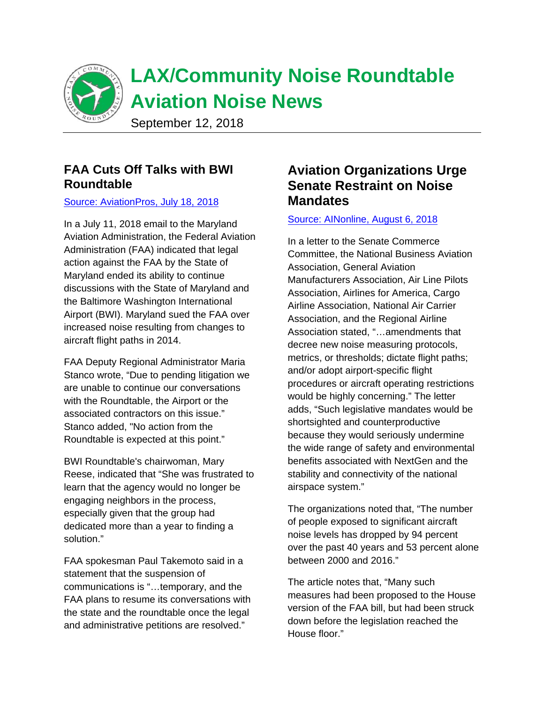

### **FAA Cuts Off Talks with BWI Roundtable**

#### [Source: AviationPros, July 18, 2018](https://www.aviationpros.com/news/12420978/following-legal-action-faa-cuts-off-talks-with-bwi-roundtable-on-flight-noise?utm_source=AIRB+E-Newsletter&utm_medium=email&utm_campaign=AVVDB180718005&rdx.ident%5Bpull%5D=omeda%7C0341H3828023B3U)

In a July 11, 2018 email to the Maryland Aviation Administration, the Federal Aviation Administration (FAA) indicated that legal action against the FAA by the State of Maryland ended its ability to continue discussions with the State of Maryland and the Baltimore Washington International Airport (BWI). Maryland sued the FAA over increased noise resulting from changes to aircraft flight paths in 2014.

FAA Deputy Regional Administrator Maria Stanco wrote, "Due to pending litigation we are unable to continue our conversations with the Roundtable, the Airport or the associated contractors on this issue." Stanco added, "No action from the Roundtable is expected at this point."

BWI Roundtable's chairwoman, Mary Reese, indicated that "She was frustrated to learn that the agency would no longer be engaging neighbors in the process, especially given that the group had dedicated more than a year to finding a solution."

FAA spokesman Paul Takemoto said in a statement that the suspension of communications is "…temporary, and the FAA plans to resume its conversations with the state and the roundtable once the legal and administrative petitions are resolved."

# **Aviation Organizations Urge Senate Restraint on Noise Mandates**

### [Source: AINonline, August 6, 2018](https://www.ainonline.com/aviation-news/business-aviation/2018-08-06/aviation-orgs-urge-senate-restraint-noise-mandates?utm_source=alerts&utm_medium=email&utm_campaign=2018-08-06&eid=325907546&bid=2197463)

In a letter to the Senate Commerce Committee, the National Business Aviation Association, General Aviation Manufacturers Association, Air Line Pilots Association, Airlines for America, Cargo Airline Association, National Air Carrier Association, and the Regional Airline Association stated, "…amendments that decree new noise measuring protocols, metrics, or thresholds; dictate flight paths; and/or adopt airport-specific flight procedures or aircraft operating restrictions would be highly concerning." The letter adds, "Such legislative mandates would be shortsighted and counterproductive because they would seriously undermine the wide range of safety and environmental benefits associated with NextGen and the stability and connectivity of the national airspace system."

The organizations noted that, "The number of people exposed to significant aircraft noise levels has dropped by 94 percent over the past 40 years and 53 percent alone between 2000 and 2016."

The article notes that, "Many such measures had been proposed to the House version of the FAA bill, but had been struck down before the legislation reached the House floor."